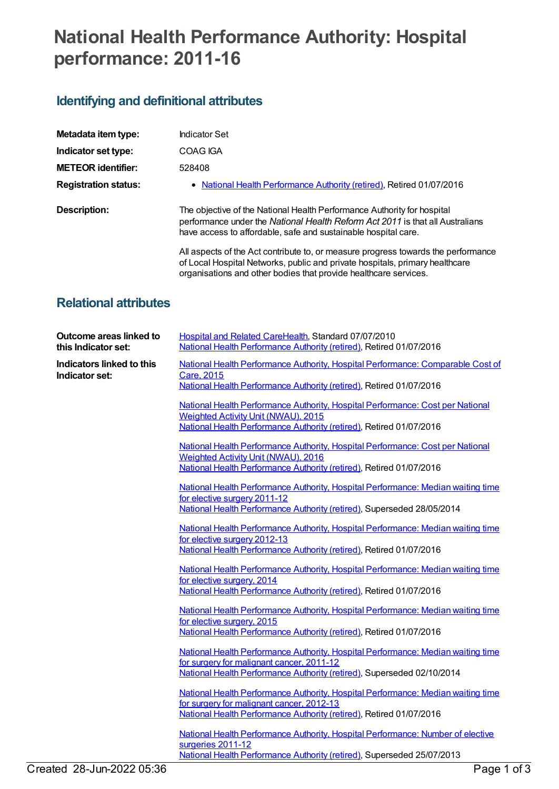## **National Health Performance Authority: Hospital performance: 2011-16**

## **Identifying and definitional attributes**

| Metadata item type:         | Indicator Set                                                                                                                                                                                                                         |
|-----------------------------|---------------------------------------------------------------------------------------------------------------------------------------------------------------------------------------------------------------------------------------|
| Indicator set type:         | COAG IGA                                                                                                                                                                                                                              |
| <b>METEOR identifier:</b>   | 528408                                                                                                                                                                                                                                |
| <b>Registration status:</b> | • National Health Performance Authority (retired), Retired 01/07/2016                                                                                                                                                                 |
| Description:                | The objective of the National Health Performance Authority for hospital<br>performance under the National Health Reform Act 2011 is that all Australians<br>have access to affordable, safe and sustainable hospital care.            |
|                             | All aspects of the Act contribute to, or measure progress towards the performance<br>of Local Hospital Networks, public and private hospitals, primary healthcare<br>organisations and other bodies that provide healthcare services. |

## **Relational attributes**

| Outcome areas linked to<br>this Indicator set: | Hospital and Related CareHealth, Standard 07/07/2010<br>National Health Performance Authority (retired), Retired 01/07/2016                                                                             |
|------------------------------------------------|---------------------------------------------------------------------------------------------------------------------------------------------------------------------------------------------------------|
| Indicators linked to this<br>Indicator set:    | National Health Performance Authority, Hospital Performance: Comparable Cost of<br>Care, 2015<br>National Health Performance Authority (retired), Retired 01/07/2016                                    |
|                                                | National Health Performance Authority, Hospital Performance: Cost per National<br><b>Weighted Activity Unit (NWAU), 2015</b><br>National Health Performance Authority (retired), Retired 01/07/2016     |
|                                                | National Health Performance Authority, Hospital Performance: Cost per National<br><b>Weighted Activity Unit (NWAU), 2016</b><br>National Health Performance Authority (retired), Retired 01/07/2016     |
|                                                | National Health Performance Authority, Hospital Performance: Median waiting time<br>for elective surgery 2011-12<br>National Health Performance Authority (retired), Superseded 28/05/2014              |
|                                                | National Health Performance Authority, Hospital Performance: Median waiting time<br>for elective surgery 2012-13<br>National Health Performance Authority (retired), Retired 01/07/2016                 |
|                                                | National Health Performance Authority, Hospital Performance: Median waiting time<br>for elective surgery, 2014<br>National Health Performance Authority (retired), Retired 01/07/2016                   |
|                                                | National Health Performance Authority, Hospital Performance: Median waiting time<br>for elective surgery, 2015<br>National Health Performance Authority (retired), Retired 01/07/2016                   |
|                                                | National Health Performance Authority, Hospital Performance: Median waiting time<br>for surgery for malignant cancer, 2011-12<br>National Health Performance Authority (retired), Superseded 02/10/2014 |
|                                                | National Health Performance Authority, Hospital Performance: Median waiting time<br>for surgery for malignant cancer, 2012-13<br>National Health Performance Authority (retired), Retired 01/07/2016    |
|                                                | National Health Performance Authority, Hospital Performance: Number of elective<br>surgeries 2011-12<br>National Health Performance Authority (retired), Superseded 25/07/2013                          |
| Created 28-Jun-2022 05:36                      | Page 1 of 3                                                                                                                                                                                             |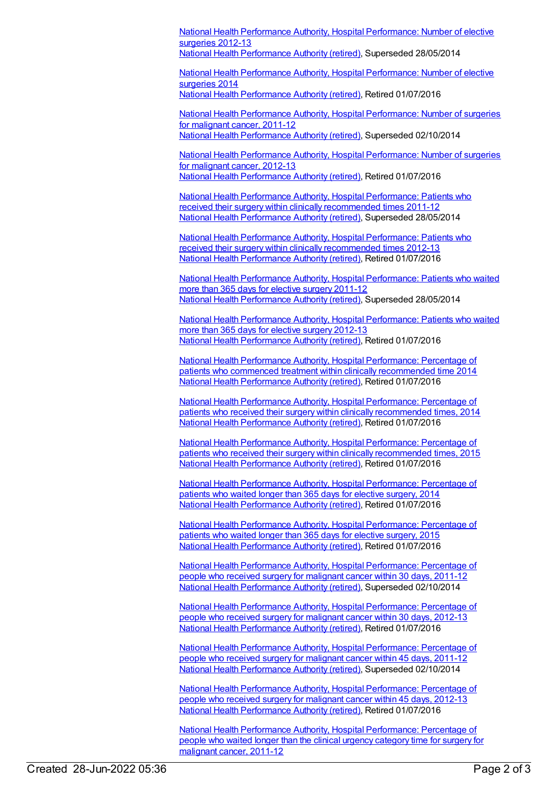National Health Performance Authority, Hospital [Performance:](https://meteor.aihw.gov.au/content/532929) Number of elective surgeries 2012-13 National Health [Performance](https://meteor.aihw.gov.au/RegistrationAuthority/8) Authority (retired), Superseded 28/05/2014

National Health Performance Authority, Hospital [Performance:](https://meteor.aihw.gov.au/content/558288) Number of elective surgeries 2014 National Health [Performance](https://meteor.aihw.gov.au/RegistrationAuthority/8) Authority (retired), Retired 01/07/2016

National Health Performance Authority, Hospital [Performance:](https://meteor.aihw.gov.au/content/530143) Number of surgeries for malignant cancer, 2011-12 National Health [Performance](https://meteor.aihw.gov.au/RegistrationAuthority/8) Authority (retired), Superseded 02/10/2014

National Health Performance Authority, Hospital [Performance:](https://meteor.aihw.gov.au/content/579929) Number of surgeries for malignant cancer, 2012-13 National Health [Performance](https://meteor.aihw.gov.au/RegistrationAuthority/8) Authority (retired), Retired 01/07/2016

National Health Performance Authority, Hospital [Performance:](https://meteor.aihw.gov.au/content/527368) Patients who received their surgery within clinically recommended times 2011-12 National Health [Performance](https://meteor.aihw.gov.au/RegistrationAuthority/8) Authority (retired), Superseded 28/05/2014

National Health Performance Authority, Hospital [Performance:](https://meteor.aihw.gov.au/content/532935) Patients who received their surgery within clinically recommended times 2012-13 National Health [Performance](https://meteor.aihw.gov.au/RegistrationAuthority/8) Authority (retired), Retired 01/07/2016

National Health Performance Authority, Hospital [Performance:](https://meteor.aihw.gov.au/content/527371) Patients who waited more than 365 days for elective surgery 2011-12 National Health [Performance](https://meteor.aihw.gov.au/RegistrationAuthority/8) Authority (retired), Superseded 28/05/2014

National Health Performance Authority, Hospital [Performance:](https://meteor.aihw.gov.au/content/532932) Patients who waited more than 365 days for elective surgery 2012-13 National Health [Performance](https://meteor.aihw.gov.au/RegistrationAuthority/8) Authority (retired), Retired 01/07/2016

National Health Performance Authority, Hospital [Performance:](https://meteor.aihw.gov.au/content/563081) Percentage of patients who commenced treatment within clinically recommended time 2014 National Health [Performance](https://meteor.aihw.gov.au/RegistrationAuthority/8) Authority (retired), Retired 01/07/2016

National Health Performance Authority, Hospital [Performance:](https://meteor.aihw.gov.au/content/558300) Percentage of patients who received their surgery within clinically recommended times, 2014 National Health [Performance](https://meteor.aihw.gov.au/RegistrationAuthority/8) Authority (retired), Retired 01/07/2016

National Health Performance Authority, Hospital [Performance:](https://meteor.aihw.gov.au/content/603039) Percentage of patients who received their surgery within clinically recommended times, 2015 National Health [Performance](https://meteor.aihw.gov.au/RegistrationAuthority/8) Authority (retired), Retired 01/07/2016

National Health Performance Authority, Hospital [Performance:](https://meteor.aihw.gov.au/content/558296) Percentage of patients who waited longer than 365 days for elective surgery, 2014 National Health [Performance](https://meteor.aihw.gov.au/RegistrationAuthority/8) Authority (retired), Retired 01/07/2016

National Health Performance Authority, Hospital [Performance:](https://meteor.aihw.gov.au/content/602986) Percentage of patients who waited longer than 365 days for elective surgery, 2015 National Health [Performance](https://meteor.aihw.gov.au/RegistrationAuthority/8) Authority (retired), Retired 01/07/2016

National Health Performance Authority, Hospital [Performance:](https://meteor.aihw.gov.au/content/530411) Percentage of people who received surgery for malignant cancer within 30 days, 2011-12 National Health [Performance](https://meteor.aihw.gov.au/RegistrationAuthority/8) Authority (retired), Superseded 02/10/2014

National Health Performance Authority, Hospital [Performance:](https://meteor.aihw.gov.au/content/579993) Percentage of people who received surgery for malignant cancer within 30 days, 2012-13 National Health [Performance](https://meteor.aihw.gov.au/RegistrationAuthority/8) Authority (retired), Retired 01/07/2016

National Health Performance Authority, Hospital [Performance:](https://meteor.aihw.gov.au/content/543422) Percentage of people who received surgery for malignant cancer within 45 days, 2011-12 National Health [Performance](https://meteor.aihw.gov.au/RegistrationAuthority/8) Authority (retired), Superseded 02/10/2014

National Health Performance Authority, Hospital [Performance:](https://meteor.aihw.gov.au/content/579894) Percentage of people who received surgery for malignant cancer within 45 days, 2012-13 National Health [Performance](https://meteor.aihw.gov.au/RegistrationAuthority/8) Authority (retired), Retired 01/07/2016

National Health Performance Authority, Hospital [Performance:](https://meteor.aihw.gov.au/content/530408) Percentage of people who waited longer than the clinical urgency category time for surgery for malignant cancer, 2011-12